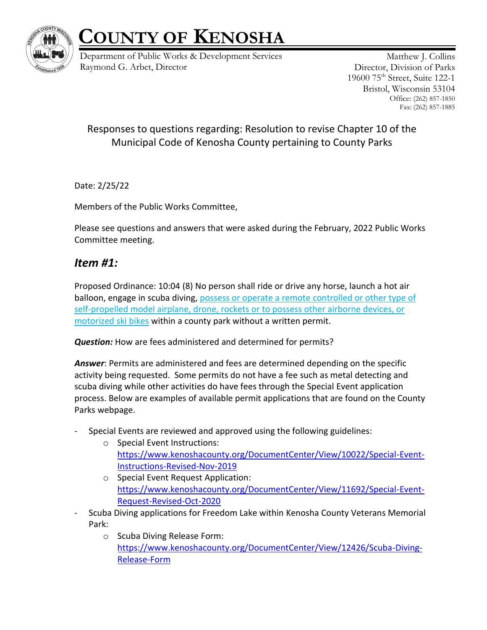

Department of Public Works & Development Services Raymond G. Arbet, Director

Matthew J. Collins Director, Division of Parks 19600 75th Street, Suite 122-1 Bristol, Wisconsin 53104 Office: (262) 857-1850 Fax: (262) 857-1885

#### Responses to questions regarding: Resolution to revise Chapter 10 of the Municipal Code of Kenosha County pertaining to County Parks

Date: 2/25/22

Members of the Public Works Committee,

Please see questions and answers that were asked during the February, 2022 Public Works Committee meeting.

### *Item #1:*

Proposed Ordinance: 10:04 (8) No person shall ride or drive any horse, launch a hot air balloon, engage in scuba diving, possess or operate a remote controlled or other type of self-propelled model airplane, drone, rockets or to possess other airborne devices, or motorized ski bikes within a county park without a written permit.

*Question:* How are fees administered and determined for permits?

*Answer*: Permits are administered and fees are determined depending on the specific activity being requested. Some permits do not have a fee such as metal detecting and scuba diving while other activities do have fees through the Special Event application process. Below are examples of available permit applications that are found on the County Parks webpage.

- Special Events are reviewed and approved using the following guidelines:
	- o Special Event Instructions: [https://www.kenoshacounty.org/DocumentCenter/View/10022/Special-Event-](https://www.kenoshacounty.org/DocumentCenter/View/10022/Special-Event-Instructions-Revised-Nov-2019)[Instructions-Revised-Nov-2019](https://www.kenoshacounty.org/DocumentCenter/View/10022/Special-Event-Instructions-Revised-Nov-2019)
	- o Special Event Request Application: [https://www.kenoshacounty.org/DocumentCenter/View/11692/Special-Event-](https://www.kenoshacounty.org/DocumentCenter/View/11692/Special-Event-Request-Revised-Oct-2020)[Request-Revised-Oct-2020](https://www.kenoshacounty.org/DocumentCenter/View/11692/Special-Event-Request-Revised-Oct-2020)
- Scuba Diving applications for Freedom Lake within Kenosha County Veterans Memorial Park:
	- o Scuba Diving Release Form: [https://www.kenoshacounty.org/DocumentCenter/View/12426/Scuba-Diving-](https://www.kenoshacounty.org/DocumentCenter/View/12426/Scuba-Diving-Release-Form)[Release-Form](https://www.kenoshacounty.org/DocumentCenter/View/12426/Scuba-Diving-Release-Form)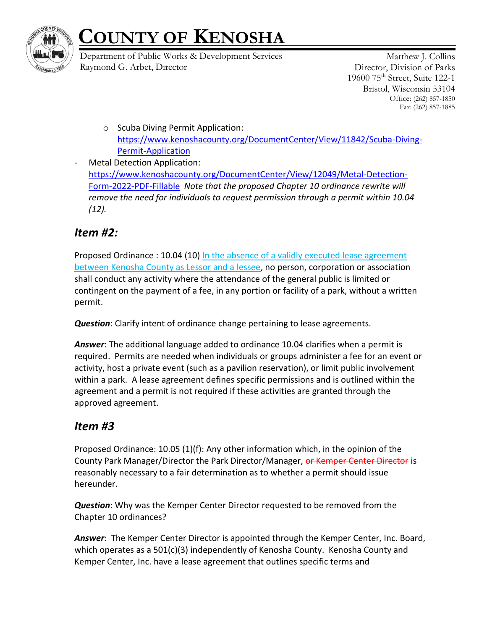

Department of Public Works & Development Services Raymond G. Arbet, Director

Matthew J. Collins Director, Division of Parks 19600 75th Street, Suite 122-1 Bristol, Wisconsin 53104 Office: (262) 857-1850 Fax: (262) 857-1885

- o Scuba Diving Permit Application: [https://www.kenoshacounty.org/DocumentCenter/View/11842/Scuba-Diving-](https://www.kenoshacounty.org/DocumentCenter/View/11842/Scuba-Diving-Permit-Application)[Permit-Application](https://www.kenoshacounty.org/DocumentCenter/View/11842/Scuba-Diving-Permit-Application)
- Metal Detection Application: [https://www.kenoshacounty.org/DocumentCenter/View/12049/Metal-Detection-](https://www.kenoshacounty.org/DocumentCenter/View/12049/Metal-Detection-Form-2022-PDF-Fillable)[Form-2022-PDF-Fillable](https://www.kenoshacounty.org/DocumentCenter/View/12049/Metal-Detection-Form-2022-PDF-Fillable) *Note that the proposed Chapter 10 ordinance rewrite will remove the need for individuals to request permission through a permit within 10.04 (12).*

### *Item #2:*

Proposed Ordinance : 10.04 (10) In the absence of a validly executed lease agreement between Kenosha County as Lessor and a lessee, no person, corporation or association shall conduct any activity where the attendance of the general public is limited or contingent on the payment of a fee, in any portion or facility of a park, without a written permit.

*Question*: Clarify intent of ordinance change pertaining to lease agreements.

*Answer*: The additional language added to ordinance 10.04 clarifies when a permit is required. Permits are needed when individuals or groups administer a fee for an event or activity, host a private event (such as a pavilion reservation), or limit public involvement within a park. A lease agreement defines specific permissions and is outlined within the agreement and a permit is not required if these activities are granted through the approved agreement.

### *Item #3*

Proposed Ordinance: 10.05 (1)(f): Any other information which, in the opinion of the County Park Manager/Director the Park Director/Manager, or Kemper Center Director is reasonably necessary to a fair determination as to whether a permit should issue hereunder.

*Question*: Why was the Kemper Center Director requested to be removed from the Chapter 10 ordinances?

*Answer*: The Kemper Center Director is appointed through the Kemper Center, Inc. Board, which operates as a 501(c)(3) independently of Kenosha County. Kenosha County and Kemper Center, Inc. have a lease agreement that outlines specific terms and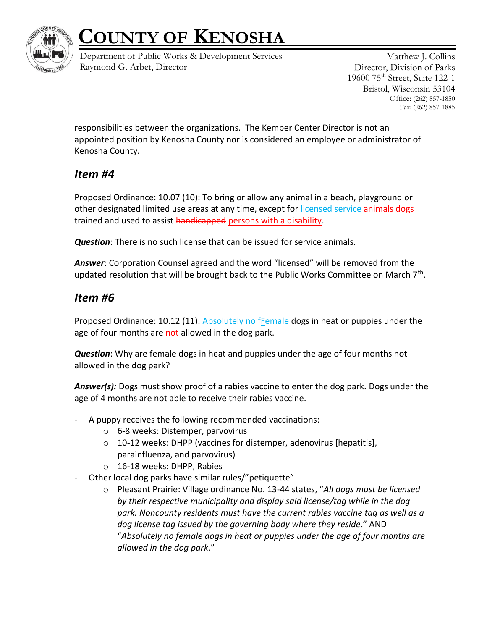

Department of Public Works & Development Services Raymond G. Arbet, Director

Matthew J. Collins Director, Division of Parks 19600 75th Street, Suite 122-1 Bristol, Wisconsin 53104 Office: (262) 857-1850 Fax: (262) 857-1885

responsibilities between the organizations. The Kemper Center Director is not an appointed position by Kenosha County nor is considered an employee or administrator of Kenosha County.

#### *Item #4*

Proposed Ordinance: 10.07 (10): To bring or allow any animal in a beach, playground or other designated limited use areas at any time, except for licensed service animals dogs trained and used to assist handicapped persons with a disability.

*Question*: There is no such license that can be issued for service animals.

*Answer*: Corporation Counsel agreed and the word "licensed" will be removed from the updated resolution that will be brought back to the Public Works Committee on March 7<sup>th</sup>.

#### *Item #6*

Proposed Ordinance: 10.12 (11): Absolutely no fFemale dogs in heat or puppies under the age of four months are not allowed in the dog park.

*Question*: Why are female dogs in heat and puppies under the age of four months not allowed in the dog park?

*Answer(s):* Dogs must show proof of a rabies vaccine to enter the dog park. Dogs under the age of 4 months are not able to receive their rabies vaccine.

- A puppy receives the following recommended vaccinations:
	- o 6-8 weeks: Distemper, parvovirus
	- o 10-12 weeks: DHPP (vaccines for distemper, adenovirus [hepatitis], parainfluenza, and parvovirus)
	- o 16-18 weeks: DHPP, Rabies
- Other local dog parks have similar rules/"petiquette"
	- o Pleasant Prairie: Village ordinance No. 13-44 states, "*All dogs must be licensed by their respective municipality and display said license/tag while in the dog park. Noncounty residents must have the current rabies vaccine tag as well as a dog license tag issued by the governing body where they reside*." AND "*Absolutely no female dogs in heat or puppies under the age of four months are allowed in the dog park*."